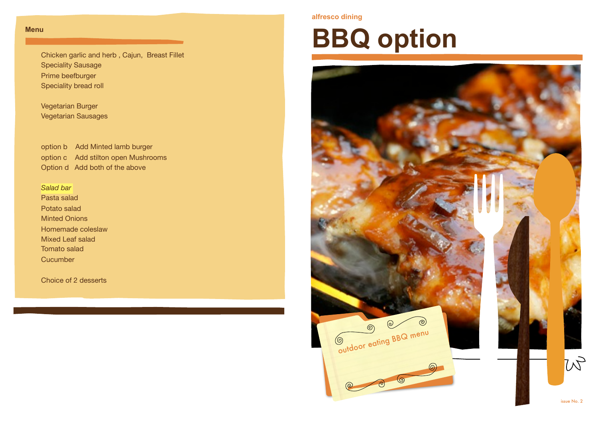#### **Menu**

Chicken garlic and herb , Cajun, Breast Fillet Speciality Sausage Prime beefburger Speciality bread roll

Vegetarian Burger Vegetarian Sausages

option b Add Minted lamb burger option c Add stilton open Mushrooms Option d Add both of the above

#### *Salad bar*  Pasta salad Potato salad Minted Onions Homemade coleslaw Mixed Leaf salad Tomato salad **Cucumber**

Choice of 2 desserts

#### **alfresco dining**

# **BBQ option**

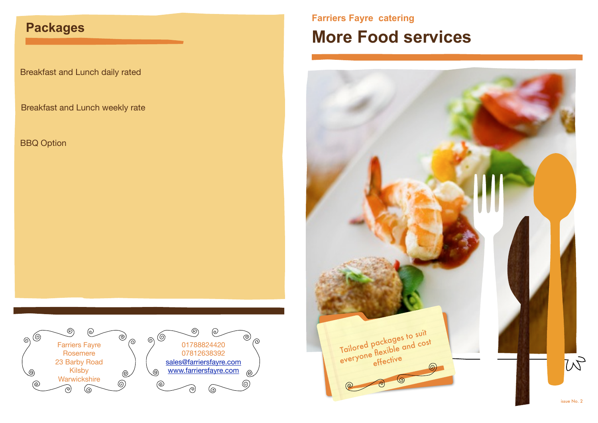### **Packages**

Breakfast and Lunch daily rated

Breakfast and Lunch weekly rate

BBQ Option



### **Farriers Fayre catering More Food services**

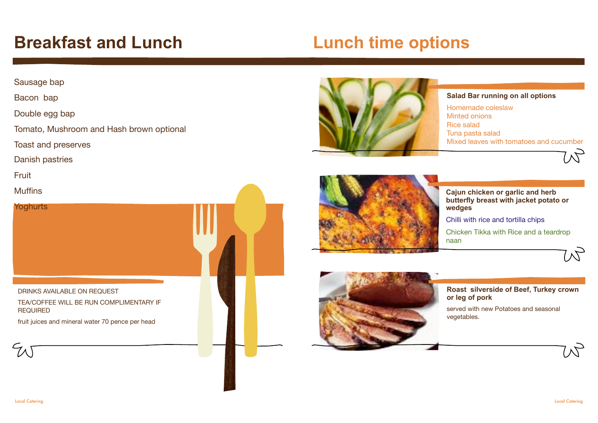### **Breakfast and Lunch**

### **Lunch time options**

#### Sausage bap

Bacon bap

Double egg bap

Tomato, Mushroom and Hash brown optional

Toast and preserves

Danish pastries

**Fruit** 

Muffins



**REQUIRED** 

fruit juices and mineral water 70 pence per head





#### **Salad Bar running on all options**

Homemade coleslaw Minted onions Rice salad Tuna pasta salad Mixed leaves with tomatoes and cucumber





**Cajun chicken or garlic and herb butterfly breast with jacket potato or wedges**

Chilli with rice and tortilla chips

Chicken Tikka with Rice and a teardrop naan



**Roast silverside of Beef, Turkey crown or leg of pork**

served with new Potatoes and seasonal vegetables.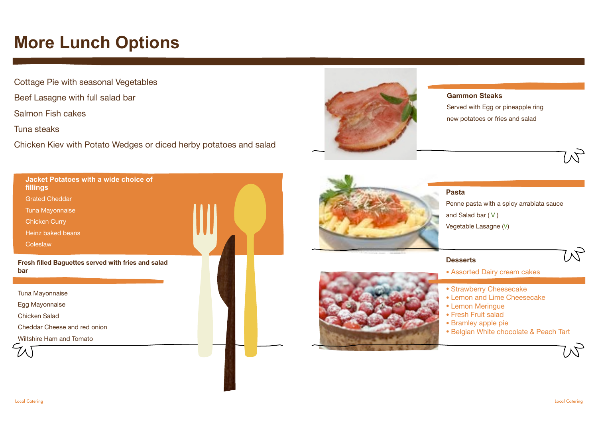### **More Lunch Options**

Cottage Pie with seasonal Vegetables

Beef Lasagne with full salad bar

Salmon Fish cakes

Tuna steaks

Chicken Kiev with Potato Wedges or diced herby potatoes and salad



#### **Gammon Steaks**

Served with Egg or pineapple ring new potatoes or fries and salad





**Pasta** Penne pasta with a spicy arrabiata sauce and Salad bar ( V ) Vegetable Lasagne (V)

#### **Desserts**

•

• Assorted Dairy cream cakes

- Strawberry Cheesecake
- Lemon and Lime Cheesecake
- Lemon Meringue
- Fresh Fruit salad
- Bramley apple pie
- Belgian White chocolate & Peach Tart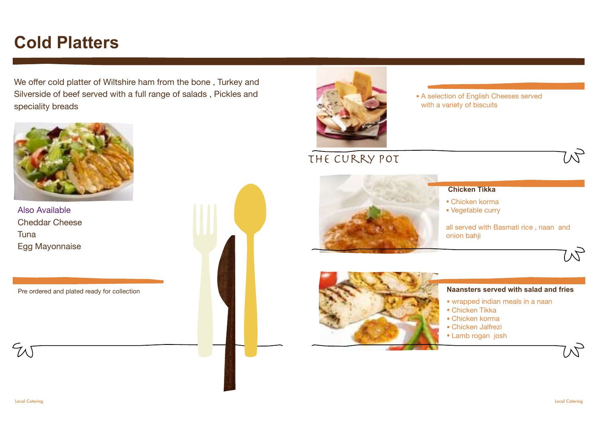### **Cold Platters**

We offer cold platter of Wiltshire ham from the bone , Turkey and Silverside of beef served with a full range of salads , Pickles and speciality breads



Also Available Cheddar Cheese Tuna Egg Mayonnaise

Pre ordered and plated ready for collection





• A selection of English Cheeses served with a variety of biscuits

The curry pot



#### **Chicken Tikka**

- Chicken korma
- Vegetable curry

all served with Basmati rice , naan and onion bahji



#### **Naansters served with salad and fries**

- wrapped indian meals in a naan
- Chicken Tikka
- Chicken korma
- Chicken Jalfrezi
- Lamb rogan josh

 $50$